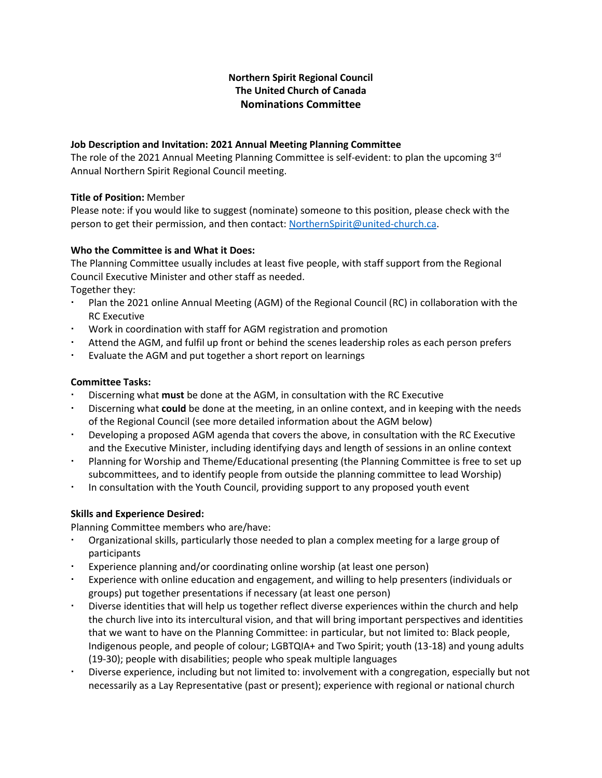# **Northern Spirit Regional Council The United Church of Canada Nominations Committee**

#### **Job Description and Invitation: 2021 Annual Meeting Planning Committee**

The role of the 2021 Annual Meeting Planning Committee is self-evident: to plan the upcoming 3<sup>rd</sup> Annual Northern Spirit Regional Council meeting.

#### **Title of Position:** Member

Please note: if you would like to suggest (nominate) someone to this position, please check with the person to get their permission, and then contact: [NorthernSpirit@united-church.ca.](mailto:NorthernSpirit@united-church.ca)

## **Who the Committee is and What it Does:**

The Planning Committee usually includes at least five people, with staff support from the Regional Council Executive Minister and other staff as needed.

Together they:

- Plan the 2021 online Annual Meeting (AGM) of the Regional Council (RC) in collaboration with the RC Executive
- Work in coordination with staff for AGM registration and promotion
- Attend the AGM, and fulfil up front or behind the scenes leadership roles as each person prefers
- Evaluate the AGM and put together a short report on learnings

## **Committee Tasks:**

- Discerning what **must** be done at the AGM, in consultation with the RC Executive
- Discerning what **could** be done at the meeting, in an online context, and in keeping with the needs of the Regional Council (see more detailed information about the AGM below)
- Developing a proposed AGM agenda that covers the above, in consultation with the RC Executive and the Executive Minister, including identifying days and length of sessions in an online context
- Planning for Worship and Theme/Educational presenting (the Planning Committee is free to set up subcommittees, and to identify people from outside the planning committee to lead Worship)
- In consultation with the Youth Council, providing support to any proposed youth event

## **Skills and Experience Desired:**

Planning Committee members who are/have:

- Organizational skills, particularly those needed to plan a complex meeting for a large group of participants
- Experience planning and/or coordinating online worship (at least one person)
- Experience with online education and engagement, and willing to help presenters (individuals or groups) put together presentations if necessary (at least one person)
- Diverse identities that will help us together reflect diverse experiences within the church and help the church live into its intercultural vision, and that will bring important perspectives and identities that we want to have on the Planning Committee: in particular, but not limited to: Black people, Indigenous people, and people of colour; LGBTQIA+ and Two Spirit; youth (13-18) and young adults (19-30); people with disabilities; people who speak multiple languages
- Diverse experience, including but not limited to: involvement with a congregation, especially but not necessarily as a Lay Representative (past or present); experience with regional or national church